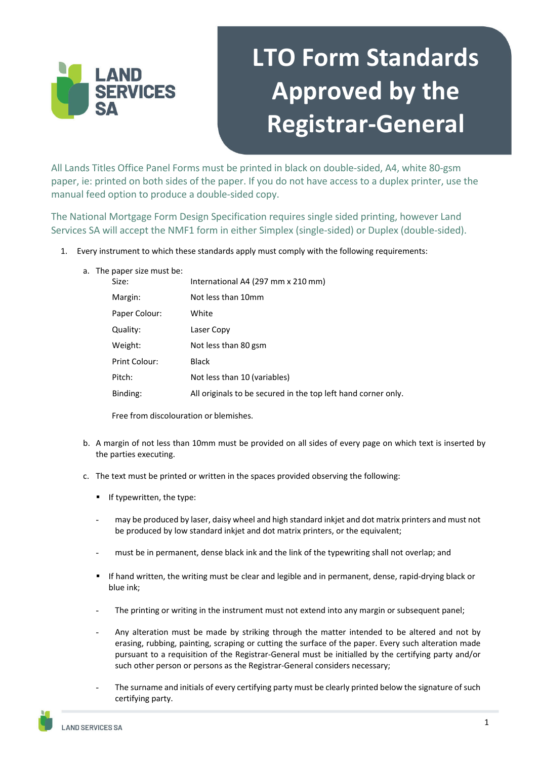

## **LTO Form Standards Approved by the Registrar‐General**

All Lands Titles Office Panel Forms must be printed in black on double-sided, A4, white 80-gsm paper, ie: printed on both sides of the paper. If you do not have access to a duplex printer, use the manual feed option to produce a double-sided copy.

The National Mortgage Form Design Specification requires single sided printing, however Land Services SA will accept the NMF1 form in either Simplex (single-sided) or Duplex (double-sided).

1. Every instrument to which these standards apply must comply with the following requirements:

| a. The paper size must be: |              |
|----------------------------|--------------|
|                            | $\mathbf{r}$ |

| Size:         | International A4 (297 mm x 210 mm)                            |
|---------------|---------------------------------------------------------------|
| Margin:       | Not less than 10mm                                            |
| Paper Colour: | White                                                         |
| Quality:      | Laser Copy                                                    |
| Weight:       | Not less than 80 gsm                                          |
| Print Colour: | Black                                                         |
| Pitch:        | Not less than 10 (variables)                                  |
| Binding:      | All originals to be secured in the top left hand corner only. |

Free from discolouration or blemishes.

- b. A margin of not less than 10mm must be provided on all sides of every page on which text is inserted by the parties executing.
- c. The text must be printed or written in the spaces provided observing the following:
	- If typewritten, the type:
	- may be produced by laser, daisy wheel and high standard inkiet and dot matrix printers and must not be produced by low standard inkjet and dot matrix printers, or the equivalent;
	- must be in permanent, dense black ink and the link of the typewriting shall not overlap; and
	- If hand written, the writing must be clear and legible and in permanent, dense, rapid-drying black or blue ink;
	- The printing or writing in the instrument must not extend into any margin or subsequent panel;
	- Any alteration must be made by striking through the matter intended to be altered and not by erasing, rubbing, painting, scraping or cutting the surface of the paper. Every such alteration made pursuant to a requisition of the Registrar-General must be initialled by the certifying party and/or such other person or persons as the Registrar-General considers necessary;
	- The surname and initials of every certifying party must be clearly printed below the signature of such certifying party.